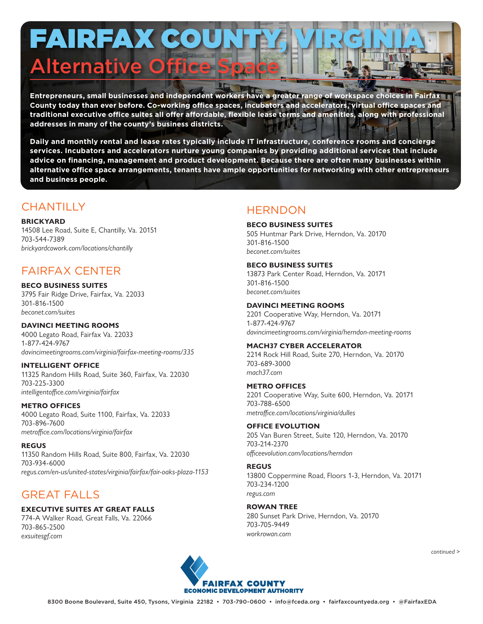# FAIRFAX COU **Alternative Office S**

**Entrepreneurs, small businesses and independent workers have a greater range of workspace choices in Fairfax County today than ever before. Co-working office spaces, incubators and accelerators, virtual office spaces and traditional executive office suites all offer affordable, flexible lease terms and amenities, along with professional addresses in many of the county's business districts.**

**Daily and monthly rental and lease rates typically include IT infrastructure, conference rooms and concierge services. Incubators and accelerators nurture young companies by providing additional services that include advice on financing, management and product development. Because there are often many businesses within alternative office space arrangements, tenants have ample opportunities for networking with other entrepreneurs and business people.**

# **CHANTILLY**

## **BRICKYARD**

14508 Lee Road, Suite E, Chantilly, Va. 20151 703-544-7389 *brickyardcowork.com/locations/chantilly*

# FAIRFAX CENTER

**BECO BUSINESS SUITES** 3795 Fair Ridge Drive, Fairfax, Va. 22033 301-816-1500 *beconet.com/suites*

#### **DAVINCI MEETING ROOMS** 4000 Legato Road, Fairfax Va. 22033

1-877-424-9767 *davincimeetingrooms.com/virginia/fairfax-meeting-rooms/335*

# **INTELLIGENT OFFICE**

11325 Random Hills Road, Suite 360, Fairfax, Va. 22030 703-225-3300 *intelligentoffice.com/virginia/fairfax*

#### **METRO OFFICES**

4000 Legato Road, Suite 1100, Fairfax, Va. 22033 703-896-7600 *metroffice.com/locations/virginia/fairfax*

#### **REGUS**

11350 Random Hills Road, Suite 800, Fairfax, Va. 22030 703-934-6000 *regus.com/en-us/united-states/virginia/fairfax/fair-oaks-plaza-1153*

# GREAT FALLS

# **EXECUTIVE SUITES AT GREAT FALLS**

774-A Walker Road, Great Falls, Va. 22066 703-865-2500 *exsuitesgf.com*

# **HERNDON**

#### **BECO BUSINESS SUITES** 505 Huntmar Park Drive, Herndon, Va. 20170 301-816-1500 *beconet.com/suites*

# **BECO BUSINESS SUITES**

13873 Park Center Road, Herndon, Va. 20171 301-816-1500 *beconet.com/suites*

## **DAVINCI MEETING ROOMS**

2201 Cooperative Way, Herndon, Va. 20171 1-877-424-9767 *davincimeetingrooms.com/virginia/herndon-meeting-rooms*

#### **MACH37 CYBER ACCELERATOR**

2214 Rock Hill Road, Suite 270, Herndon, Va. 20170 703-689-3000 *mach37.com*

#### **METRO OFFICES**

2201 Cooperative Way, Suite 600, Herndon, Va. 20171 703-788-6500 *metroffice.com/locations/virginia/dulles*

# **OFFICE EVOLUTION**

205 Van Buren Street, Suite 120, Herndon, Va. 20170 703-214-2370 *officeevolution.com/locations/herndon*

# **REGUS**

13800 Coppermine Road, Floors 1-3, Herndon, Va. 20171 703-234-1200 *regus.com*

# **ROWAN TREE**

280 Sunset Park Drive, Herndon, Va. 20170 703-705-9449 *workrowan.com*



*continued >*